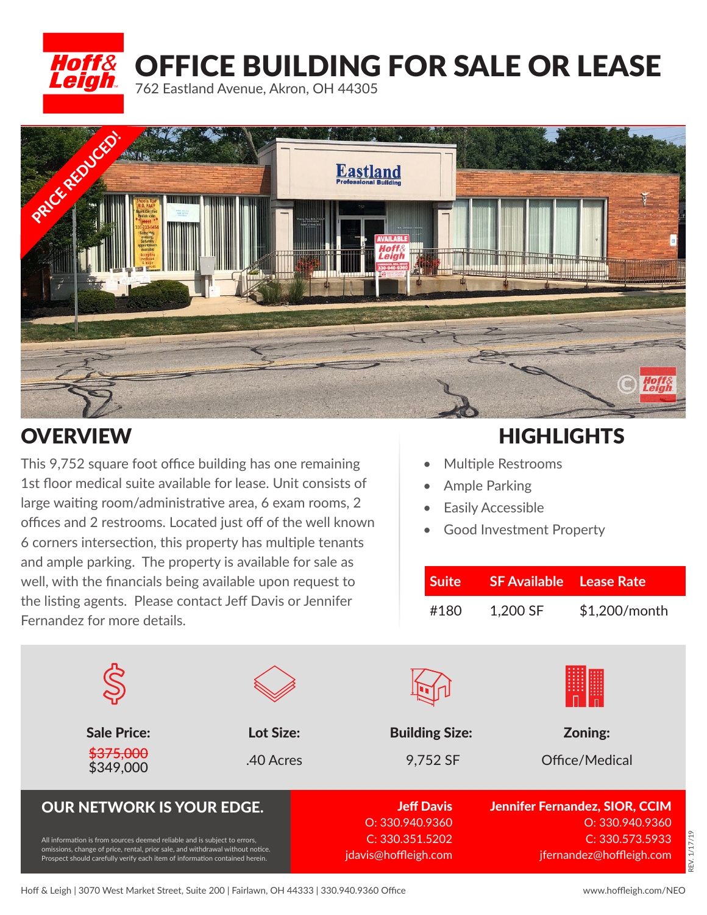

## OFFICE BUILDING FOR SALE OR LEASE

762 Eastland Avenue, Akron, OH 44305



This 9,752 square foot office building has one remaining 1st floor medical suite available for lease. Unit consists of large waiting room/administrative area, 6 exam rooms, 2 offices and 2 restrooms. Located just off of the well known 6 corners intersection, this property has multiple tenants and ample parking. The property is available for sale as well, with the financials being available upon request to the listing agents. Please contact Jeff Davis or Jennifer Fernandez for more details.

#### OVERVIEW **EXAMPLE A SERVIEW RESERVIEW**

- Multiple Restrooms
- Ample Parking
- Easily Accessible
- Good Investment Property

| <b>Suite</b> | <b>SF Available</b> Lease Rate |                 |  |
|--------------|--------------------------------|-----------------|--|
| #180         | 1,200 SF                       | $$1,200/m$ onth |  |

| <b>Sale Price:</b><br>\$375,000                                                                                                                                                                                                            | Lot Size: | <b>Building Size:</b>                   | Zoning:                                                  |
|--------------------------------------------------------------------------------------------------------------------------------------------------------------------------------------------------------------------------------------------|-----------|-----------------------------------------|----------------------------------------------------------|
| \$349,000                                                                                                                                                                                                                                  | .40 Acres | 9,752 SF                                | Office/Medical                                           |
| <b>OUR NETWORK IS YOUR EDGE.</b>                                                                                                                                                                                                           |           | <b>Jeff Davis</b><br>O: 330.940.9360    | <b>Jennifer Fernandez, SIOR, CCIM</b><br>O: 330.940.9360 |
| All information is from sources deemed reliable and is subject to errors,<br>omissions, change of price, rental, prior sale, and withdrawal without notice.<br>Prospect should carefully verify each item of information contained herein. |           | C: 330.351.5202<br>jdavis@hoffleigh.com | C: 330.573.5933<br>jfernandez@hoffleigh.com              |

### REV. 1/17/19EV. 1/17/19